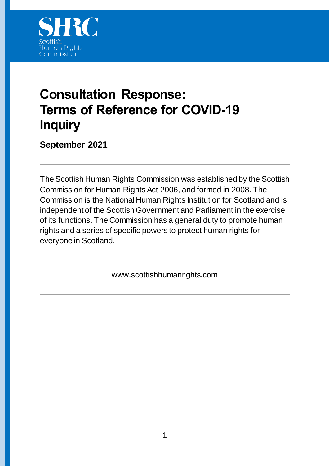

# **Consultation Response: Terms of Reference for COVID-19 Inquiry**

**September 2021**

The Scottish Human Rights Commission was established by the Scottish Commission for Human Rights Act 2006, and formed in 2008. The Commission is the National Human Rights Institution for Scotland and is independent of the Scottish Government and Parliament in the exercise of its functions. The Commission has a general duty to promote human rights and a series of specific powers to protect human rights for everyone in Scotland.

www.scottishhumanrights.com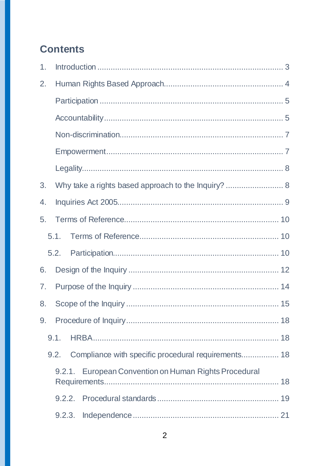# **Contents**

| 1.             |                                                       |  |  |  |
|----------------|-------------------------------------------------------|--|--|--|
| 2.             |                                                       |  |  |  |
|                |                                                       |  |  |  |
|                |                                                       |  |  |  |
|                |                                                       |  |  |  |
|                |                                                       |  |  |  |
|                |                                                       |  |  |  |
| 3.             | Why take a rights based approach to the Inquiry?  8   |  |  |  |
| 4.             |                                                       |  |  |  |
| 5.             |                                                       |  |  |  |
|                | 5.1.                                                  |  |  |  |
|                | 5.2.                                                  |  |  |  |
| 6.             |                                                       |  |  |  |
| 7 <sub>1</sub> |                                                       |  |  |  |
| 8.             |                                                       |  |  |  |
| 9.             |                                                       |  |  |  |
|                | 9.1.                                                  |  |  |  |
|                | 9.2.                                                  |  |  |  |
|                | 9.2.1. European Convention on Human Rights Procedural |  |  |  |
|                |                                                       |  |  |  |
|                |                                                       |  |  |  |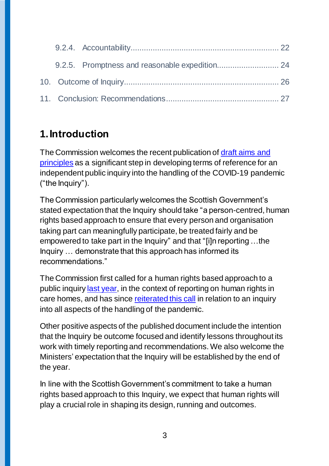# <span id="page-2-0"></span>**1.Introduction**

The Commission welcomes the recent publication of [draft aims and](https://www.gov.scot/publications/covid-19-inquiry/)  [principles](https://www.gov.scot/publications/covid-19-inquiry/) as a significant step in developing terms of reference for an independent public inquiry into the handling of the COVID-19 pandemic ("the Inquiry").

The Commission particularly welcomes the Scottish Government's stated expectation that the Inquiry should take "a person-centred, human rights based approach to ensure that every person and organisation taking part can meaningfully participate, be treated fairly and be empowered to take part in the Inquiry" and that "[i]n reporting …the Inquiry … demonstrate that this approach has informed its recommendations."

The Commission first called for a human rights based approach to a public inquir[y last year,](https://www.scottishhumanrights.com/media/2054/coronavirus-care-homes-briefing-140720_vfinaldocx.pdf) in the context of reporting on human rights in care homes, and has since [reiterated this call](https://www.scottishhumanrights.com/media/2198/letter-to-dfm-and-cab-sec-health-re-covid-inquiry-may-2021.pdf) in relation to an inquiry into all aspects of the handling of the pandemic.

Other positive aspects of the published document include the intention that the Inquiry be outcome focused and identify lessons throughout its work with timely reporting and recommendations. We also welcome the Ministers' expectation that the Inquiry will be established by the end of the year.

In line with the Scottish Government's commitment to take a human rights based approach to this Inquiry, we expect that human rights will play a crucial role in shaping its design, running and outcomes.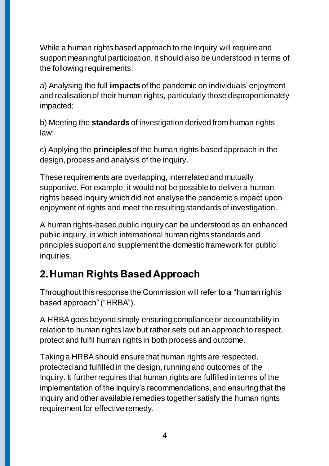While a human rights based approach to the Inquiry will require and support meaningful participation, it should also be understood in terms of the following requirements:

a) Analysing the full **impacts** of the pandemic on individuals' enjoyment and realisation of their human rights, particularly those disproportionately impacted;

b) Meeting the **standards** of investigation derived from human rights law;

c) Applying the **principles** of the human rights based approach in the design, process and analysis of the inquiry.

These requirements are overlapping, interrelated and mutually supportive. For example, it would not be possible to deliver a human rights based inquiry which did not analyse the pandemic's impact upon enjoyment of rights and meet the resulting standards of investigation.

A human rights-based public inquiry can be understood as an enhanced public inquiry, in which international human rights standards and principles support and supplement the domestic framework for public inquiries.

# <span id="page-3-0"></span>**2.Human Rights Based Approach**

Throughout this response the Commission will refer to a "human rights based approach" ("HRBA").

A HRBA goes beyond simply ensuring compliance or accountability in relation to human rights law but rather sets out an approach to respect, protect and fulfil human rights in both process and outcome.

Taking a HRBA should ensure that human rights are respected, protected and fulfilled in the design, running and outcomes of the Inquiry. It further requires that human rights are fulfilled in terms of the implementation of the Inquiry's recommendations, and ensuring that the Inquiry and other available remedies together satisfy the human rights requirement for effective remedy.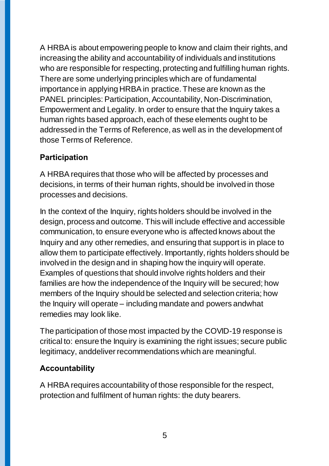A HRBA is about empowering people to know and claim their rights, and increasing the ability and accountability of individuals and institutions who are responsible for respecting, protecting and fulfilling human rights. There are some underlying principles which are of fundamental importance in applying HRBA in practice. These are known as the PANEL principles: Participation, Accountability, Non-Discrimination, Empowerment and Legality. In order to ensure that the Inquiry takes a human rights based approach, each of these elements ought to be addressed in the Terms of Reference, as well as in the development of those Terms of Reference.

### <span id="page-4-0"></span>**Participation**

A HRBA requires that those who will be affected by processes and decisions, in terms of their human rights, should be involved in those processes and decisions.

In the context of the Inquiry, rights holders should be involved in the design, process and outcome. This will include effective and accessible communication, to ensure everyone who is affected knows about the Inquiry and any other remedies, and ensuring that support is in place to allow them to participate effectively. Importantly, rights holders should be involved in the design and in shaping how the inquiry will operate. Examples of questions that should involve rights holders and their families are how the independence of the Inquiry will be secured; how members of the Inquiry should be selected and selection criteria; how the Inquiry will operate – including mandate and powers andwhat remedies may look like.

The participation of those most impacted by the COVID-19 response is critical to: ensure the Inquiry is examining the right issues; secure public legitimacy, anddeliver recommendations which are meaningful.

## <span id="page-4-1"></span>**Accountability**

A HRBA requires accountability of those responsible for the respect, protection and fulfilment of human rights: the duty bearers.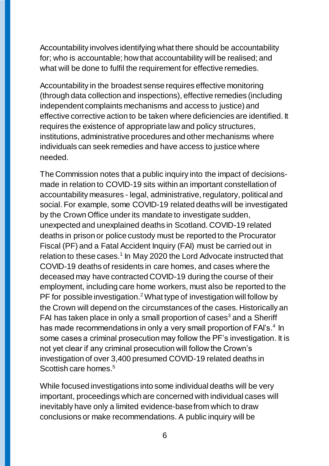Accountability involves identifying what there should be accountability for; who is accountable; how that accountability will be realised; and what will be done to fulfil the requirement for effective remedies.

Accountability in the broadest sense requires effective monitoring (through data collection and inspections), effective remedies (including independent complaints mechanisms and access to justice) and effective corrective action to be taken where deficiencies are identified. It requires the existence of appropriate law and policy structures, institutions, administrative procedures and other mechanisms where individuals can seek remedies and have access to justice where needed.

The Commission notes that a public inquiry into the impact of decisionsmade in relation to COVID-19 sits within an important constellation of accountability measures - legal, administrative, regulatory, political and social. For example, some COVID-19 related deaths will be investigated by the Crown Office under its mandate to investigate sudden, unexpected and unexplained deaths in Scotland. COVID-19 related deaths in prison or police custody must be reported to the Procurator Fiscal (PF) and a Fatal Accident Inquiry (FAI) must be carried out in relation to these cases.<sup>1</sup> In May 2020 the Lord Advocate instructed that COVID-19 deaths of residents in care homes, and cases where the deceased may have contracted COVID-19 during the course of their employment, including care home workers, must also be reported to the PF for possible investigation.<sup>2</sup> What type of investigation will follow by the Crown will depend on the circumstances of the cases. Historically an FAI has taken place in only a small proportion of cases<sup>3</sup> and a Sheriff has made recommendations in only a very small proportion of FAI's.<sup>4</sup> In some cases a criminal prosecution may follow the PF's investigation. It is not yet clear if any criminal prosecution will follow the Crown's investigation of over 3,400 presumed COVID-19 related deaths in Scottish care homes.<sup>5</sup>

While focused investigations into some individual deaths will be very important, proceedings which are concerned with individual cases will inevitably have only a limited evidence-base from which to draw conclusions or make recommendations. A public inquiry will be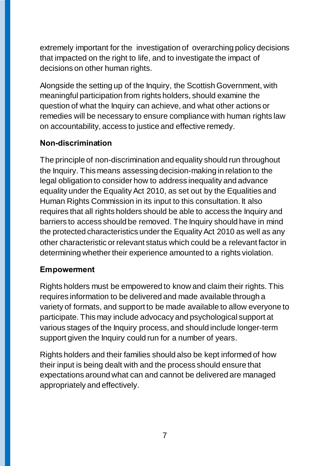extremely important for the investigation of overarching policy decisions that impacted on the right to life, and to investigate the impact of decisions on other human rights.

Alongside the setting up of the Inquiry, the Scottish Government, with meaningful participation from rights holders, should examine the question of what the Inquiry can achieve, and what other actions or remedies will be necessary to ensure compliance with human rights law on accountability, access to justice and effective remedy.

## <span id="page-6-0"></span>**Non-discrimination**

The principle of non-discrimination and equality should run throughout the Inquiry. This means assessing decision-making in relation to the legal obligation to consider how to address inequality and advance equality under the Equality Act 2010, as set out by the Equalities and Human Rights Commission in its input to this consultation. It also requires that all rights holders should be able to access the Inquiry and barriers to access should be removed. The Inquiry should have in mind the protected characteristics under the Equality Act 2010 as well as any other characteristic or relevant status which could be a relevant factor in determining whether their experience amounted to a rights violation.

## <span id="page-6-1"></span>**Empowerment**

Rights holders must be empowered to know and claim their rights. This requires information to be delivered and made available through a variety of formats, and support to be made available to allow everyone to participate. This may include advocacy and psychological support at various stages of the Inquiry process, and should include longer-term support given the Inquiry could run for a number of years.

Rights holders and their families should also be kept informed of how their input is being dealt with and the process should ensure that expectations around what can and cannot be delivered are managed appropriately and effectively.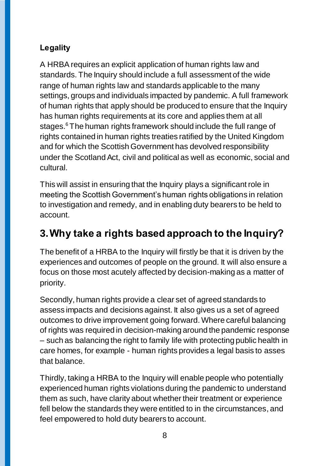## <span id="page-7-0"></span>**Legality**

A HRBA requires an explicit application of human rights law and standards. The Inquiry should include a full assessment of the wide range of human rights law and standards applicable to the many settings, groups and individuals impacted by pandemic. A full framework of human rights that apply should be produced to ensure that the Inquiry has human rights requirements at its core and applies them at all stages. <sup>6</sup> The human rights framework should include the full range of rights contained in human rights treaties ratified by the United Kingdom and for which the Scottish Government has devolved responsibility under the Scotland Act, civil and political as well as economic, social and cultural.

This will assist in ensuring that the Inquiry plays a significant role in meeting the Scottish Government's human rights obligations in relation to investigation and remedy, and in enabling duty bearers to be held to account.

# <span id="page-7-1"></span>**3.Why take a rights based approach to the Inquiry?**

The benefit of a HRBA to the Inquiry will firstly be that it is driven by the experiences and outcomes of people on the ground. It will also ensure a focus on those most acutely affected by decision-making as a matter of priority.

Secondly, human rights provide a clear set of agreed standards to assess impacts and decisions against. It also gives us a set of agreed outcomes to drive improvement going forward. Where careful balancing of rights was required in decision-making around the pandemic response – such as balancing the right to family life with protecting public health in care homes, for example - human rights provides a legal basis to asses that balance.

Thirdly, taking a HRBA to the Inquiry will enable people who potentially experienced human rights violations during the pandemic to understand them as such, have clarity about whether their treatment or experience fell below the standards they were entitled to in the circumstances, and feel empowered to hold duty bearers to account.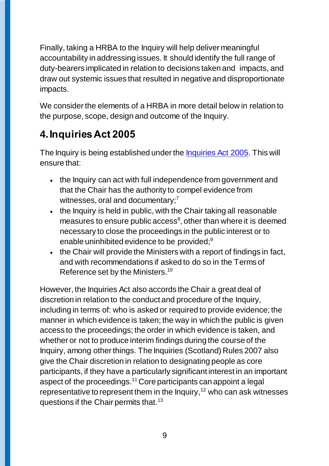Finally, taking a HRBA to the Inquiry will help deliver meaningful accountability in addressing issues. It should identify the full range of duty-bearers implicated in relation to decisions taken and impacts, and draw out systemic issues that resulted in negative and disproportionate impacts.

We consider the elements of a HRBA in more detail below in relation to the purpose, scope, design and outcome of the Inquiry.

# <span id="page-8-0"></span>**4.Inquiries Act 2005**

The Inquiry is being established under the [Inquiries Act 2005.](https://www.legislation.gov.uk/ukpga/2005/12/contents) This will ensure that:

- the Inquiry can act with full independence from government and that the Chair has the authority to compel evidence from witnesses, oral and documentary;<sup>7</sup>
- the Inquiry is held in public, with the Chair taking all reasonable measures to ensure public  $access^8$ , other than where it is deemed necessary to close the proceedings in the public interest or to enable uninhibited evidence to be provided; $9$
- the Chair will provide the Ministers with a report of findings in fact, and with recommendations if asked to do so in the Terms of Reference set by the Ministers.<sup>10</sup>

However, the Inquiries Act also accords the Chair a great deal of discretion in relation to the conduct and procedure of the Inquiry, including in terms of: who is asked or required to provide evidence; the manner in which evidence is taken; the way in which the public is given access to the proceedings; the order in which evidence is taken, and whether or not to produce interim findings during the course of the Inquiry, among other things. The Inquiries (Scotland) Rules 2007 also give the Chair discretion in relation to designating people as core participants, if they have a particularly significant interest in an important aspect of the proceedings.<sup>11</sup> Core participants can appoint a legal representative to represent them in the Inquiry, $12$  who can ask witnesses questions if the Chair permits that.<sup>13</sup>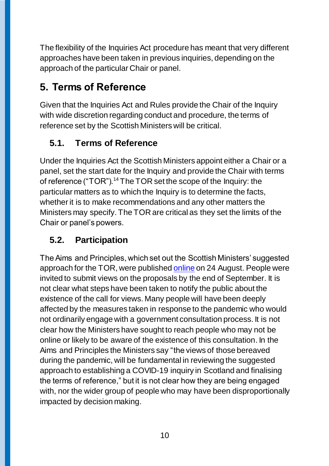The flexibility of the Inquiries Act procedure has meant that very different approaches have been taken in previous inquiries, depending on the approach of the particular Chair or panel.

# <span id="page-9-0"></span>**5. Terms of Reference**

Given that the Inquiries Act and Rules provide the Chair of the Inquiry with wide discretion regarding conduct and procedure, the terms of reference set by the Scottish Ministers will be critical.

## <span id="page-9-1"></span>**5.1. Terms of Reference**

Under the Inquiries Act the Scottish Ministers appoint either a Chair or a panel, set the start date for the Inquiry and provide the Chair with terms of reference ("TOR").<sup>14</sup> The TOR set the scope of the Inquiry: the particular matters as to which the Inquiry is to determine the facts, whether it is to make recommendations and any other matters the Ministers may specify. The TOR are critical as they set the limits of the Chair or panel's powers.

## <span id="page-9-2"></span>**5.2. Participation**

The Aims and Principles, which set out the Scottish Ministers' suggested approach for the TOR, were publishe[d online](https://www.gov.scot/publications/covid-19-inquiry/) on 24 August. People were invited to submit views on the proposals by the end of September. It is not clear what steps have been taken to notify the public about the existence of the call for views. Many people will have been deeply affected by the measures taken in response to the pandemic who would not ordinarily engage with a government consultation process. It is not clear how the Ministers have sought to reach people who may not be online or likely to be aware of the existence of this consultation. In the Aims and Principles the Ministers say "the views of those bereaved during the pandemic, will be fundamental in reviewing the suggested approach to establishing a COVID-19 inquiry in Scotland and finalising the terms of reference," but it is not clear how they are being engaged with, nor the wider group of people who may have been disproportionally impacted by decision making.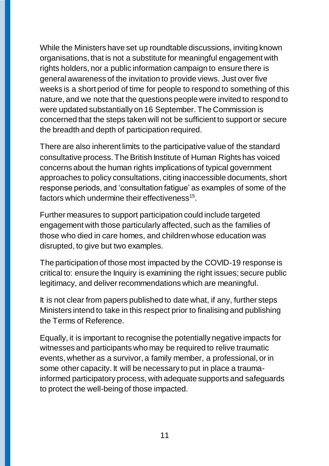While the Ministers have set up roundtable discussions, inviting known organisations, that is not a substitute for meaningful engagement with rights holders, nor a public information campaign to ensure there is general awareness of the invitation to provide views. Just over five weeks is a short period of time for people to respond to something of this nature, and we note that the questions people were invited to respond to were updated substantially on 16 September. The Commission is concerned that the steps taken will not be sufficient to support or secure the breadth and depth of participation required.

There are also inherent limits to the participative value of the standard consultative process. The British Institute of Human Rights has voiced concerns about the human rights implications of typical government approaches to policy consultations, citing inaccessible documents, short response periods, and 'consultation fatigue' as examples of some of the factors which undermine their effectiveness $^{15}$ .

Further measures to support participation could include targeted engagement with those particularly affected, such as the families of those who died in care homes, and children whose education was disrupted, to give but two examples.

The participation of those most impacted by the COVID-19 response is critical to: ensure the Inquiry is examining the right issues; secure public legitimacy, and deliver recommendations which are meaningful.

It is not clear from papers published to date what, if any, further steps Ministers intend to take in this respect prior to finalising and publishing the Terms of Reference.

Equally, it is important to recognise the potentially negative impacts for witnesses and participants who may be required to relive traumatic events, whether as a survivor, a family member, a professional, or in some other capacity. It will be necessary to put in place a traumainformed participatory process, with adequate supports and safeguards to protect the well-being of those impacted.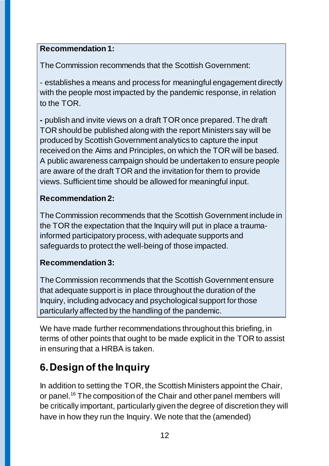## **Recommendation 1:**

The Commission recommends that the Scottish Government:

- establishes a means and process for meaningful engagement directly with the people most impacted by the pandemic response, in relation to the TOR.

**-** publish and invite views on a draft TOR once prepared. The draft TOR should be published along with the report Ministers say will be produced by Scottish Government analytics to capture the input received on the Aims and Principles, on which the TOR will be based. A public awareness campaign should be undertaken to ensure people are aware of the draft TOR and the invitation for them to provide views. Sufficient time should be allowed for meaningful input.

## **Recommendation 2:**

The Commission recommends that the Scottish Government include in the TOR the expectation that the Inquiry will put in place a traumainformed participatory process, with adequate supports and safeguards to protect the well-being of those impacted.

## **Recommendation 3:**

The Commission recommends that the Scottish Government ensure that adequate support is in place throughout the duration of the Inquiry, including advocacy and psychological support for those particularly affected by the handling of the pandemic.

We have made further recommendations throughout this briefing, in terms of other points that ought to be made explicit in the TOR to assist in ensuring that a HRBA is taken.

# <span id="page-11-0"></span>**6.Design of the Inquiry**

In addition to setting the TOR, the Scottish Ministers appoint the Chair, or panel.<sup>16</sup> The composition of the Chair and other panel members will be critically important, particularly given the degree of discretion they will have in how they run the Inquiry. We note that the (amended)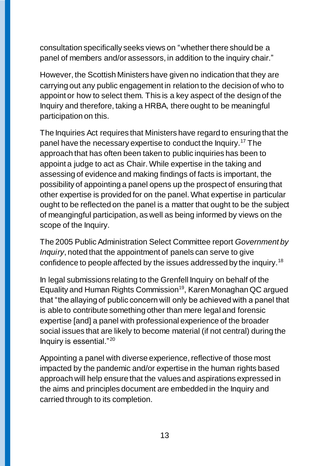consultation specifically seeks views on "whether there should be a panel of members and/or assessors, in addition to the inquiry chair."

However, the Scottish Ministers have given no indication that they are carrying out any public engagement in relation to the decision of who to appoint or how to select them. This is a key aspect of the design of the Inquiry and therefore, taking a HRBA, there ought to be meaningful participation on this.

The Inquiries Act requires that Ministers have regard to ensuring that the panel have the necessary expertise to conduct the Inquiry.<sup>17</sup> The approach that has often been taken to public inquiries has been to appoint a judge to act as Chair. While expertise in the taking and assessing of evidence and making findings of facts is important, the possibility of appointing a panel opens up the prospect of ensuring that other expertise is provided for on the panel. What expertise in particular ought to be reflected on the panel is a matter that ought to be the subject of meangingful participation, as well as being informed by views on the scope of the Inquiry.

The 2005 Public Administration Select Committee report *Government by Inquiry*, noted that the appointment of panels can serve to give confidence to people affected by the issues addressed by the inquiry.<sup>18</sup>

In legal submissions relating to the Grenfell Inquiry on behalf of the Equality and Human Rights Commission<sup>19</sup>, Karen Monaghan QC argued that "the allaying of public concern will only be achieved with a panel that is able to contribute something other than mere legal and forensic expertise [and] a panel with professional experience of the broader social issues that are likely to become material (if not central) during the Inquiry is essential."<sup>20</sup>

Appointing a panel with diverse experience, reflective of those most impacted by the pandemic and/or expertise in the human rights based approach will help ensure that the values and aspirations expressed in the aims and principles document are embedded in the Inquiry and carried through to its completion.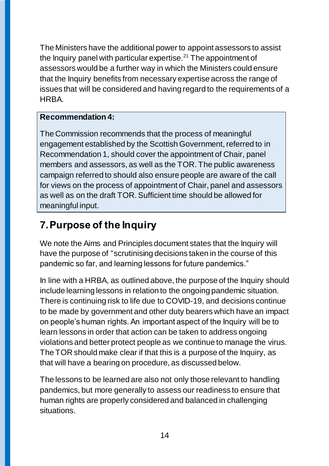The Ministers have the additional power to appoint assessors to assist the Inquiry panel with particular expertise. $2<sup>1</sup>$  The appointment of assessors would be a further way in which the Ministers could ensure that the Inquiry benefits from necessary expertise across the range of issues that will be considered and having regard to the requirements of a HRBA.

### **Recommendation 4:**

The Commission recommends that the process of meaningful engagement established by the Scottish Government, referred to in Recommendation 1, should cover the appointment of Chair, panel members and assessors, as well as the TOR. The public awareness campaign referred to should also ensure people are aware of the call for views on the process of appointment of Chair, panel and assessors as well as on the draft TOR.Sufficient time should be allowed for meaningful input.

# <span id="page-13-0"></span>**7.Purpose of the Inquiry**

We note the Aims and Principles document states that the Inquiry will have the purpose of "scrutinising decisions taken in the course of this pandemic so far, and learning lessons for future pandemics."

In line with a HRBA, as outlined above, the purpose of the Inquiry should include learning lessons in relation to the ongoing pandemic situation. There is continuing risk to life due to COVID-19, and decisions continue to be made by government and other duty bearers which have an impact on people's human rights. An important aspect of the Inquiry will be to learn lessons in order that action can be taken to address ongoing violations and better protect people as we continue to manage the virus. The TOR should make clear if that this is a purpose of the Inquiry, as that will have a bearing on procedure, as discussed below.

The lessons to be learned are also not only those relevant to handling pandemics, but more generally to assess our readiness to ensure that human rights are properly considered and balanced in challenging situations.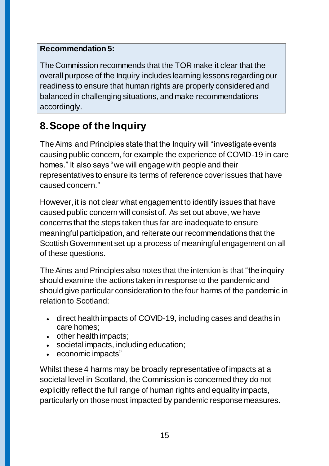## **Recommendation 5:**

The Commission recommends that the TOR make it clear that the overall purpose of the Inquiry includes learning lessons regarding our readiness to ensure that human rights are properly considered and balanced in challenging situations, and make recommendations accordingly.

# <span id="page-14-0"></span>**8.Scope of the Inquiry**

The Aims and Principles state that the Inquiry will "investigate events causing public concern, for example the experience of COVID-19 in care homes." It also says "we will engage with people and their representatives to ensure its terms of reference cover issues that have caused concern."

However, it is not clear what engagement to identify issues that have caused public concern will consist of. As set out above, we have concerns that the steps taken thus far are inadequate to ensure meaningful participation, and reiterate our recommendations that the Scottish Government set up a process of meaningful engagement on all of these questions.

The Aims and Principles also notes that the intention is that "the inquiry should examine the actions taken in response to the pandemic and should give particular consideration to the four harms of the pandemic in relation to Scotland:

- direct health impacts of COVID-19, including cases and deaths in care homes;
- other health impacts;
- societal impacts, including education;
- economic impacts"

Whilst these 4 harms may be broadly representative of impacts at a societal level in Scotland, the Commission is concerned they do not explicitly reflect the full range of human rights and equality impacts, particularly on those most impacted by pandemic response measures.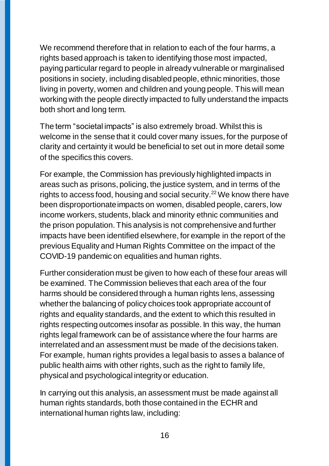We recommend therefore that in relation to each of the four harms, a rights based approach is taken to identifying those most impacted, paying particular regard to people in already vulnerable or marginalised positions in society, including disabled people, ethnic minorities, those living in poverty, women and children and young people. This will mean working with the people directly impacted to fully understand the impacts both short and long term.

The term "societal impacts" is also extremely broad. Whilst this is welcome in the sense that it could cover many issues, for the purpose of clarity and certainty it would be beneficial to set out in more detail some of the specifics this covers.

For example, the Commission has previously highlighted impacts in areas such as prisons, policing, the justice system, and in terms of the rights to access food, housing and social security.<sup>22</sup> We know there have been disproportionate impacts on women, disabled people, carers, low income workers, students, black and minority ethnic communities and the prison population. This analysis is not comprehensive and further impacts have been identified elsewhere, for example in the report of the previous Equality and Human Rights Committee on the impact of the COVID-19 pandemic on equalities and human rights.

Further consideration must be given to how each of these four areas will be examined. The Commission believes that each area of the four harms should be considered through a human rights lens, assessing whether the balancing of policy choices took appropriate account of rights and equality standards, and the extent to which this resulted in rights respecting outcomes insofar as possible. In this way, the human rights legal framework can be of assistance where the four harms are interrelated and an assessment must be made of the decisions taken. For example, human rights provides a legal basis to asses a balance of public health aims with other rights, such as the right to family life, physical and psychological integrity or education.

In carrying out this analysis, an assessment must be made against all human rights standards, both those contained in the ECHR and international human rights law, including: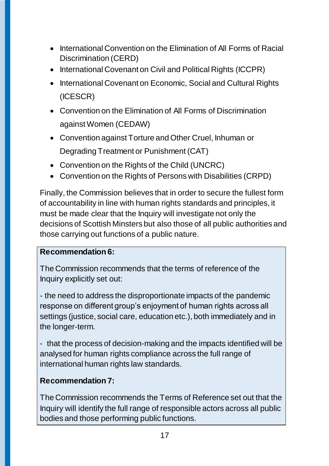- International Convention on the Elimination of All Forms of Racial Discrimination (CERD)
- International Covenant on Civil and Political Rights (ICCPR)
- International Covenant on Economic, Social and Cultural Rights (ICESCR)
- Convention on the Elimination of All Forms of Discrimination against Women (CEDAW)
- Convention against Torture and Other Cruel, Inhuman or Degrading Treatment or Punishment (CAT)
- Convention on the Rights of the Child (UNCRC)
- Convention on the Rights of Persons with Disabilities (CRPD)

Finally, the Commission believes that in order to secure the fullest form of accountability in line with human rights standards and principles, it must be made clear that the Inquiry will investigate not only the decisions of Scottish Minsters but also those of all public authorities and those carrying out functions of a public nature.

#### **Recommendation 6:**

The Commission recommends that the terms of reference of the Inquiry explicitly set out:

- the need to address the disproportionate impacts of the pandemic response on different group's enjoyment of human rights across all settings (justice, social care, education etc.), both immediately and in the longer-term.

- that the process of decision-making and the impacts identified will be analysed for human rights compliance across the full range of international human rights law standards.

## **Recommendation 7:**

The Commission recommends the Terms of Reference set out that the Inquiry will identify the full range of responsible actors across all public bodies and those performing public functions.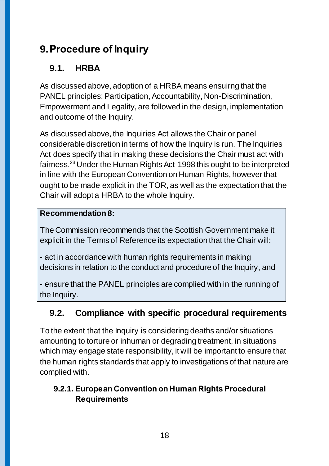# <span id="page-17-0"></span>**9.Procedure of Inquiry**

## <span id="page-17-1"></span>**9.1. HRBA**

As discussed above, adoption of a HRBA means ensuirng that the PANEL principles: Participation, Accountability, Non-Discrimination, Empowerment and Legality, are followed in the design, implementation and outcome of the Inquiry.

As discussed above, the Inquiries Act allows the Chair or panel considerable discretion in terms of how the Inquiry is run. The Inquiries Act does specify that in making these decisions the Chair must act with fairness.<sup>23</sup> Under the Human Rights Act 1998 this ought to be interpreted in line with the European Convention on Human Rights, however that ought to be made explicit in the TOR, as well as the expectation that the Chair will adopt a HRBA to the whole Inquiry.

## **Recommendation 8:**

The Commission recommends that the Scottish Government make it explicit in the Terms of Reference its expectation that the Chair will:

- act in accordance with human rights requirements in making decisions in relation to the conduct and procedure of the Inquiry, and

- ensure that the PANEL principles are complied with in the running of the Inquiry.

## <span id="page-17-2"></span>**9.2. Compliance with specific procedural requirements**

To the extent that the Inquiry is considering deaths and/or situations amounting to torture or inhuman or degrading treatment, in situations which may engage state responsibility, it will be important to ensure that the human rights standards that apply to investigations of that nature are complied with.

## <span id="page-17-3"></span>**9.2.1. European Convention on Human Rights Procedural Requirements**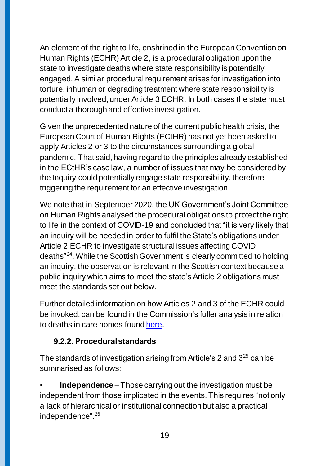An element of the right to life, enshrined in the European Convention on Human Rights (ECHR) Article 2, is a procedural obligation upon the state to investigate deaths where state responsibility is potentially engaged. A similar procedural requirement arises for investigation into torture, inhuman or degrading treatment where state responsibility is potentially involved, under Article 3 ECHR. In both cases the state must conduct a thorough and effective investigation.

Given the unprecedented nature of the current public health crisis, the European Court of Human Rights (ECtHR) has not yet been asked to apply Articles 2 or 3 to the circumstances surrounding a global pandemic. That said, having regard to the principles already established in the ECtHR's case law, a number of issues that may be considered by the Inquiry could potentially engage state responsibility, therefore triggering the requirement for an effective investigation.

We note that in September 2020, the UK Government's Joint Committee on Human Rights analysed the procedural obligations to protect the right to life in the context of COVID-19 and concluded that "it is very likely that an inquiry will be needed in order to fulfil the State's obligations under Article 2 ECHR to investigate structural issues affecting COVID deaths" 24 . While the Scottish Government is clearly committed to holding an inquiry, the observation is relevant in the Scottish context because a public inquiry which aims to meet the state's Article 2 obligations must meet the standards set out below.

Further detailed information on how Articles 2 and 3 of the ECHR could be invoked, can be found in the Commission's fuller analysis in relation to deaths in care homes found [here.](https://www.scottishhumanrights.com/media/2054/coronavirus-care-homes-briefing-140720_vfinaldocx.pdf)

## <span id="page-18-0"></span>**9.2.2. Procedural standards**

The standards of investigation arising from Article's 2 and  $3^{25}$  can be summarised as follows:

• **Independence** – Those carrying out the investigation must be independent from those implicated in the events. This requires "not only a lack of hierarchical or institutional connection but also a practical independence".26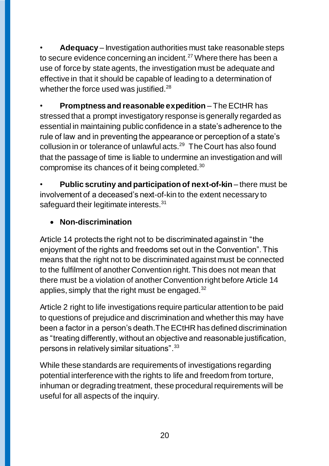• **Adequacy** – Investigation authorities must take reasonable steps to secure evidence concerning an incident.<sup>27</sup> Where there has been a use of force by state agents, the investigation must be adequate and effective in that it should be capable of leading to a determination of whether the force used was justified.<sup>28</sup>

• **Promptness and reasonable expedition** – The ECtHR has stressed that a prompt investigatory response is generally regarded as essential in maintaining public confidence in a state's adherence to the rule of law and in preventing the appearance or perception of a state's collusion in or tolerance of unlawful acts.<sup>29</sup> The Court has also found that the passage of time is liable to undermine an investigation and will compromise its chances of it being completed.<sup>30</sup>

**Public scrutiny and participation of next-of-kin** – there must be involvement of a deceased's next-of-kin to the extent necessary to safeguard their legitimate interests.<sup>31</sup>

## **Non-discrimination**

Article 14 protects the right not to be discriminated against in "the enjoyment of the rights and freedoms set out in the Convention". This means that the right not to be discriminated against must be connected to the fulfilment of another Convention right. This does not mean that there must be a violation of another Convention right before Article 14 applies, simply that the right must be engaged.<sup>32</sup>

Article 2 right to life investigations require particular attention to be paid to questions of prejudice and discrimination and whether this may have been a factor in a person's death.The ECtHR has defined discrimination as "treating differently, without an objective and reasonable justification, persons in relatively similar situations".<sup>33</sup>

While these standards are requirements of investigations regarding potential interference with the rights to life and freedom from torture, inhuman or degrading treatment, these procedural requirements will be useful for all aspects of the inquiry*.*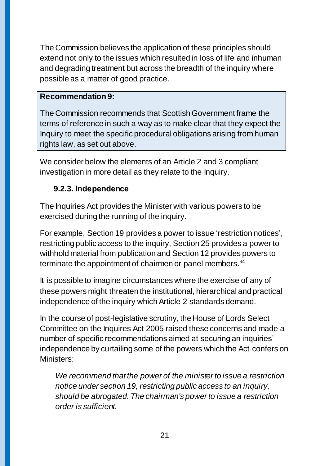The Commission believes the application of these principles should extend not only to the issues which resulted in loss of life and inhuman and degrading treatment but across the breadth of the inquiry where possible as a matter of good practice.

#### **Recommendation 9:**

The Commission recommends that Scottish Government frame the terms of reference in such a way as to make clear that they expect the Inquiry to meet the specific procedural obligations arising from human rights law, as set out above.

We consider below the elements of an Article 2 and 3 compliant investigation in more detail as they relate to the Inquiry.

## <span id="page-20-0"></span>**9.2.3. Independence**

The Inquiries Act provides the Minister with various powers to be exercised during the running of the inquiry.

For example, Section 19 provides a power to issue 'restriction notices', restricting public access to the inquiry, Section 25 provides a power to withhold material from publication and Section 12 provides powers to terminate the appointment of chairmen or panel members.<sup>34</sup>

It is possible to imagine circumstances where the exercise of any of these powers might threaten the institutional, hierarchical and practical independence of the inquiry which Article 2 standards demand.

In the course of post-legislative scrutiny, the House of Lords Select Committee on the Inquires Act 2005 raised these concerns and made a number of specific recommendations aimed at securing an inquiries' independence by curtailing some of the powers which the Act confers on Ministers:

*We recommend that the power of the minister to issue a restriction notice under section 19, restricting public access to an inquiry, should be abrogated. The chairman's power to issue a restriction order is sufficient.*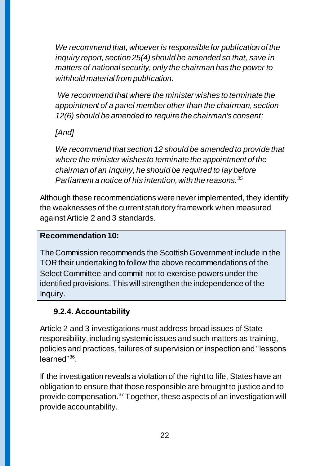*We recommend that, whoever is responsible for publication of the inquiry report, section 25(4) should be amended so that, save in matters of national security, only the chairman has the power to withhold material from publication.*

*We recommend that where the minister wishes to terminate the appointment of a panel member other than the chairman, section 12(6) should be amended to require the chairman's consent;*

## *[And]*

*We recommend that section 12 should be amended to provide that where the minister wishes to terminate the appointment of the chairman of an inquiry, he should be required to lay before Parliament a notice of his intention, with the reasons.<sup>35</sup>*

Although these recommendations were never implemented, they identify the weaknesses of the current statutory framework when measured against Article 2 and 3 standards.

## **Recommendation 10:**

The Commission recommends the Scottish Government include in the TOR their undertaking to follow the above recommendations of the Select Committee and commit not to exercise powers under the identified provisions. This will strengthen the independence of the Inquiry.

## <span id="page-21-0"></span>**9.2.4. Accountability**

Article 2 and 3 investigations must address broad issues of State responsibility, including systemic issues and such matters as training, policies and practices, failures of supervision or inspection and "lessons learned"<sup>36</sup>.

If the investigation reveals a violation of the right to life, States have an obligation to ensure that those responsible are brought to justice and to provide compensation.<sup>37</sup> Together, these aspects of an investigation will provide accountability.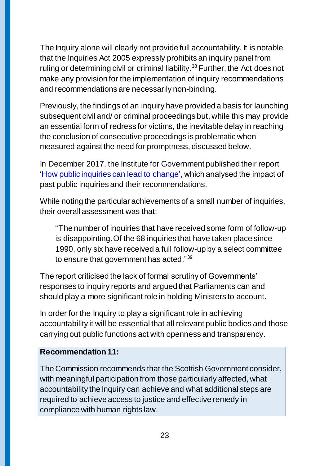The Inquiry alone will clearly not provide full accountability. It is notable that the Inquiries Act 2005 expressly prohibits an inquiry panel from ruling or determining civil or criminal liability.<sup>38</sup> Further, the Act does not make any provision for the implementation of inquiry recommendations and recommendations are necessarily non-binding.

Previously, the findings of an inquiry have provided a basis for launching subsequent civil and/ or criminal proceedings but, while this may provide an essential form of redress for victims, the inevitable delay in reaching the conclusion of consecutive proceedings is problematic when measured against the need for promptness, discussed below.

In December 2017, the Institute for Government published their report ['How public inquiries can lead to change'](https://www.instituteforgovernment.org.uk/sites/default/files/publications/Public%20Inquiries%20%28final%29.pdf), which analysed the impact of past public inquiries and their recommendations.

While noting the particular achievements of a small number of inquiries, their overall assessment was that:

"The number of inquiries that have received some form of follow-up is disappointing. Of the 68 inquiries that have taken place since 1990, only six have received a full follow-up by a select committee to ensure that government has acted."<sup>39</sup>

The report criticised the lack of formal scrutiny of Governments' responses to inquiry reports and argued that Parliaments can and should play a more significant role in holding Ministers to account.

In order for the Inquiry to play a significant role in achieving accountability it will be essential that all relevant public bodies and those carrying out public functions act with openness and transparency.

#### **Recommendation 11:**

The Commission recommends that the Scottish Government consider, with meaningful participation from those particularly affected, what accountability the Inquiry can achieve and what additional steps are required to achieve access to justice and effective remedy in compliance with human rights law.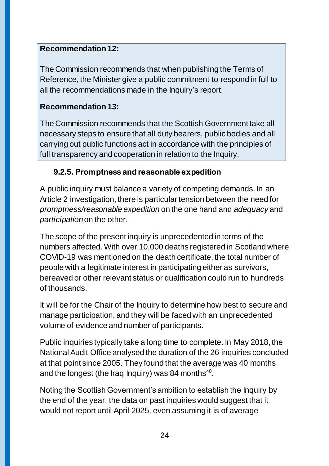### **Recommendation 12:**

The Commission recommends that when publishing the Terms of Reference, the Minister give a public commitment to respond in full to all the recommendations made in the Inquiry's report.

### **Recommendation 13:**

The Commission recommends that the Scottish Government take all necessary steps to ensure that all duty bearers, public bodies and all carrying out public functions act in accordance with the principles of full transparency and cooperation in relation to the Inquiry.

## <span id="page-23-0"></span>**9.2.5. Promptness and reasonable expedition**

A public inquiry must balance a variety of competing demands. In an Article 2 investigation, there is particular tension between the need for *promptness/reasonable expedition* on the one hand and *adequacy* and *participation*on the other.

The scope of the present inquiry is unprecedented in terms of the numbers affected. With over 10,000 deaths registered in Scotland where COVID-19 was mentioned on the death certificate, the total number of people with a legitimate interest in participating either as survivors, bereaved or other relevant status or qualification could run to hundreds of thousands.

It will be for the Chair of the Inquiry to determine how best to secure and manage participation, and they will be faced with an unprecedented volume of evidence and number of participants.

Public inquiries typically take a long time to complete. In May 2018, the National Audit Office analysed the duration of the 26 inquiries concluded at that point since 2005. They found that the average was 40 months and the longest (the Iraq Inquiry) was 84 months $40$ .

Noting the Scottish Government's ambition to establish the Inquiry by the end of the year, the data on past inquiries would suggest that it would not report until April 2025, even assuming it is of average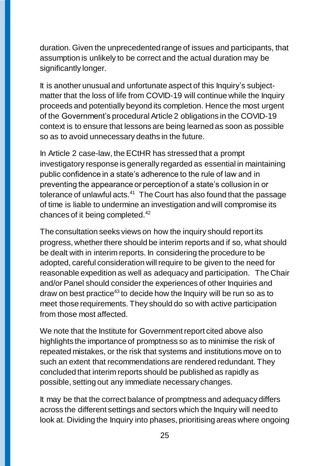duration. Given the unprecedented range of issues and participants, that assumption is unlikely to be correct and the actual duration may be significantly longer.

It is another unusual and unfortunate aspect of this Inquiry's subjectmatter that the loss of life from COVID-19 will continue while the Inquiry proceeds and potentially beyond its completion. Hence the most urgent of the Government's procedural Article 2 obligations in the COVID-19 context is to ensure that lessons are being learned as soon as possible so as to avoid unnecessary deaths in the future.

In Article 2 case-law, the ECtHR has stressed that a prompt investigatory response is generally regarded as essential in maintaining public confidence in a state's adherence to the rule of law and in preventing the appearance or perception of a state's collusion in or tolerance of unlawful acts. $41$  The Court has also found that the passage of time is liable to undermine an investigation and will compromise its chances of it being completed.<sup>42</sup>

The consultation seeks views on how the inquiry should report its progress, whether there should be interim reports and if so, what should be dealt with in interim reports. In considering the procedure to be adopted, careful consideration will require to be given to the need for reasonable expedition as well as adequacy and participation. The Chair and/or Panel should consider the experiences of other Inquiries and draw on best practice<sup>43</sup> to decide how the Inquiry will be run so as to meet those requirements. They should do so with active participation from those most affected.

We note that the Institute for Government report cited above also highlights the importance of promptness so as to minimise the risk of repeated mistakes, or the risk that systems and institutions move on to such an extent that recommendations are rendered redundant. They concluded that interim reports should be published as rapidly as possible, setting out any immediate necessary changes.

It may be that the correct balance of promptness and adequacy differs across the different settings and sectors which the Inquiry will need to look at. Dividing the Inquiry into phases, prioritising areas where ongoing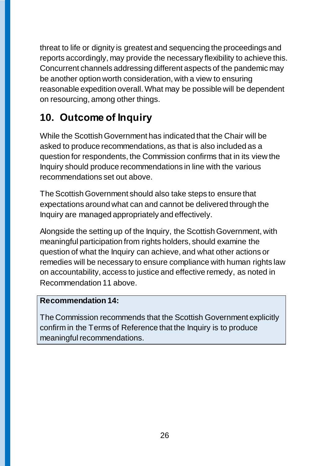threat to life or dignity is greatest and sequencing the proceedings and reports accordingly, may provide the necessary flexibility to achieve this. Concurrent channels addressing different aspects of the pandemic may be another option worth consideration, with a view to ensuring reasonable expedition overall. What may be possible will be dependent on resourcing, among other things.

# <span id="page-25-0"></span>**10. Outcome of Inquiry**

While the Scottish Government has indicated that the Chair will be asked to produce recommendations, as that is also included as a question for respondents, the Commission confirms that in its view the Inquiry should produce recommendations in line with the various recommendations set out above.

The Scottish Government should also take steps to ensure that expectations around what can and cannot be delivered through the Inquiry are managed appropriately and effectively.

Alongside the setting up of the Inquiry, the Scottish Government, with meaningful participation from rights holders, should examine the question of what the Inquiry can achieve, and what other actions or remedies will be necessary to ensure compliance with human rights law on accountability, access to justice and effective remedy, as noted in Recommendation 11 above.

#### **Recommendation 14:**

The Commission recommends that the Scottish Government explicitly confirm in the Terms of Reference that the Inquiry is to produce meaningful recommendations.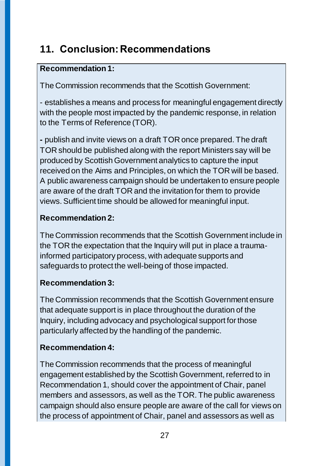# <span id="page-26-0"></span>**11. Conclusion:Recommendations**

## **Recommendation 1:**

The Commission recommends that the Scottish Government:

- establishes a means and process for meaningful engagement directly with the people most impacted by the pandemic response, in relation to the Terms of Reference (TOR).

**-** publish and invite views on a draft TOR once prepared. The draft TOR should be published along with the report Ministers say will be produced by Scottish Government analytics to capture the input received on the Aims and Principles, on which the TOR will be based. A public awareness campaign should be undertaken to ensure people are aware of the draft TOR and the invitation for them to provide views. Sufficient time should be allowed for meaningful input.

## **Recommendation 2:**

The Commission recommends that the Scottish Government include in the TOR the expectation that the Inquiry will put in place a traumainformed participatory process, with adequate supports and safeguards to protect the well-being of those impacted.

## **Recommendation 3:**

The Commission recommends that the Scottish Government ensure that adequate support is in place throughout the duration of the Inquiry, including advocacy and psychological support for those particularly affected by the handling of the pandemic.

## **Recommendation 4:**

The Commission recommends that the process of meaningful engagement established by the Scottish Government, referred to in Recommendation 1, should cover the appointment of Chair, panel members and assessors, as well as the TOR. The public awareness campaign should also ensure people are aware of the call for views on the process of appointment of Chair, panel and assessors as well as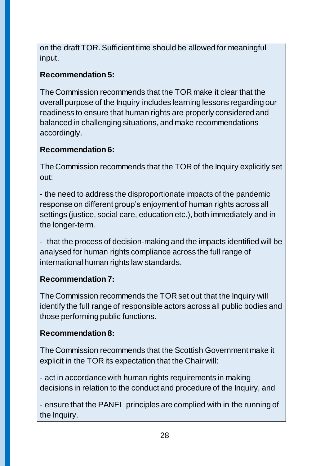on the draft TOR. Sufficient time should be allowed for meaningful input.

## **Recommendation 5:**

The Commission recommends that the TOR make it clear that the overall purpose of the Inquiry includes learning lessons regarding our readiness to ensure that human rights are properly considered and balanced in challenging situations, and make recommendations accordingly.

## **Recommendation 6:**

The Commission recommends that the TOR of the Inquiry explicitly set out:

- the need to address the disproportionate impacts of the pandemic response on different group's enjoyment of human rights across all settings (justice, social care, education etc.), both immediately and in the longer-term.

- that the process of decision-making and the impacts identified will be analysed for human rights compliance across the full range of international human rights law standards.

## **Recommendation 7:**

The Commission recommends the TOR set out that the Inquiry will identify the full range of responsible actors across all public bodies and those performing public functions.

## **Recommendation 8:**

The Commission recommends that the Scottish Government make it explicit in the TOR its expectation that the Chair will:

- act in accordance with human rights requirements in making decisions in relation to the conduct and procedure of the Inquiry, and

- ensure that the PANEL principles are complied with in the running of the Inquiry.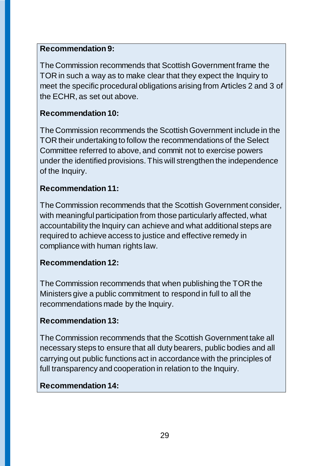### **Recommendation 9:**

The Commission recommends that Scottish Government frame the TOR in such a way as to make clear that they expect the Inquiry to meet the specific procedural obligations arising from Articles 2 and 3 of the ECHR, as set out above.

### **Recommendation 10:**

The Commission recommends the Scottish Government include in the TOR their undertaking to follow the recommendations of the Select Committee referred to above, and commit not to exercise powers under the identified provisions. This will strengthen the independence of the Inquiry.

#### **Recommendation 11:**

The Commission recommends that the Scottish Government consider, with meaningful participation from those particularly affected, what accountability the Inquiry can achieve and what additional steps are required to achieve access to justice and effective remedy in compliance with human rights law.

## **Recommendation 12:**

The Commission recommends that when publishing the TOR the Ministers give a public commitment to respond in full to all the recommendations made by the Inquiry.

## **Recommendation 13:**

The Commission recommends that the Scottish Government take all necessary steps to ensure that all duty bearers, public bodies and all carrying out public functions act in accordance with the principles of full transparency and cooperation in relation to the Inquiry.

## **Recommendation 14:**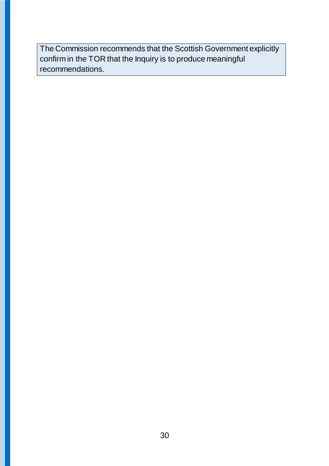The Commission recommends that the Scottish Government explicitly confirm in the TOR that the Inquiry is to produce meaningful recommendations.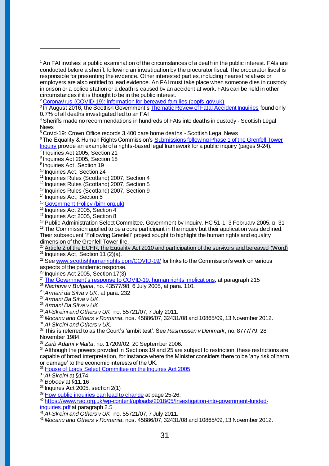$1$  An FAI involves a public examination of the circumstances of a death in the public interest. FAIs are conducted before a sheriff, following an investigation by the procurator fiscal. The procurator fiscal is responsible for presenting the evidence. Other interested parties, including nearest relatives or employers are also entitled to lead evidence. An FAI must take place when someone dies in custody in prison or a police station or a death is caused by an accident at work. FAIs can be held in other circumstances if it is thought to be in the public interest.

<sup>2</sup> [Coronavirus \(COVID-19\): information for bereaved families \(copfs.gov.uk\)](https://www.copfs.gov.uk/media-site-news-from-copfs/1885-coronavirus-covid-19-information-for-bereaved-families)

<sup>3</sup> In August 2016, the Scottish Government's **Thematic Review of Fatal Accident Inquiries** found only 0.7% of all deaths investigated led to an FAI

<sup>4</sup> [Sheriffs made no recommendations in hundreds of FAIs into deaths in custody -](https://www.scottishlegal.com/article/sheriffs-made-no-recommendations-in-hundreds-of-fais-into-deaths-in-custody) Scottish Legal [News](https://www.scottishlegal.com/article/sheriffs-made-no-recommendations-in-hundreds-of-fais-into-deaths-in-custody)

<sup>5</sup> [Covid-19: Crown Office records 3,400 care home deaths -](https://www.scottishlegal.com/article/covid-19-crown-office-records-3-400-care-home-deaths) Scottish Legal News

<sup>6</sup> The Equality & Human Rights Commission's Submissions following Phase 1 of the Grenfell Tower

[Inquiry](https://www.equalityhumanrights.com/sites/default/files/grenfell-inquiry-phase-1-submissions-january-2019.pdf) provide an example of a rights-based legal framework for a public inquiry (pages 9-24). 7 Inquiries Act 2005, Section 21

8 Inquiries Act 2005, Section 18

<sup>9</sup> Inquiries Act, Section 19

 $\overline{a}$ 

<sup>10</sup> Inquiries Act, Section 24

<sup>11</sup> Inquiries Rules (Scotland) 2007, Section 4

<sup>12</sup> Inquiries Rules (Scotland) 2007, Section 5

<sup>13</sup> Inquiries Rules (Scotland) 2007, Section 9

<sup>14</sup> Inquiries Act, Section 5

<sup>15</sup> [Government Policy \(bihr.org.uk\)](https://www.bihr.org.uk/Handlers/Download.ashx?IDMF=2cbe8582-6f1a-4e13-9085-db4f6872228d)

<sup>16</sup> Inquiries Act 2005, Section 4

<sup>17</sup> Inquiries Act 2005, Section 8

<sup>18</sup> Public Administration Select Committee, Government by Inquiry, HC 51-1, 3 February 2005, p. 31

 $19$  The Commission applied to be a core participant in the inquiry but their application was declined. Their subsequen[t 'Following Grenfell'](https://www.equalityhumanrights.com/en/following-grenfell) project sought to highlight the human rights and equality dimension of the Grenfell Tower fire.

[Article 2 of the ECHR, the Equality Act 2010 and participation of the survivors and bereaved \(Word\)](https://www.equalityhumanrights.com/sites/default/files/following-grenfell-inquiry-submission-article-2-18-december-2017.docx)

<sup>21</sup> Inquiries Act, Section 11 (2)(a).

<sup>22</sup> See [www.scottishhumanrights.com/COVID-19/](http://www.scottishhumanrights.com/COVID-19/) for links to the Commission's work on various aspects of the pandemic response.

 $^{23}$  Inquiries Act 2005, Section 17(3)

<sup>24</sup> [The Government's response to COVID-19: human rights implications,](https://committees.parliament.uk/publications/2649/documents/26914/default/) at paragraph 215

<sup>25</sup> *Nachova v Bulgaria*, no. 43577/98, 6 July 2005, at para. 110.

<sup>26</sup> *Armani da Silva v UK*, at para. 232

<sup>27</sup> *Armani Da Silva v UK*.

<sup>28</sup> *Armani Da Silva v UK*.

<sup>29</sup> *Al-Skeini and Others v UK*, no. 55721/07, 7 July 2011.

<sup>30</sup> *Mocanu and Others v Romania*, nos. 45886/07, 32431/08 and 10865/09, 13 November 2012.

<sup>31</sup> *Al-Skeini and Others v UK.*

<sup>32</sup> This is referred to as the Court's 'ambit test'. See *Rasmussen v Denmark*, no. 8777/79, 28 November 1984.

<sup>33</sup> *Zarb Adami v Malta*, no. 17209/02, 20 September 2006.

 $34$  Although the powers provided in Sections 19 and 25 are subject to restriction, these restrictions are capable of broad interpretation, for instance where the Minister considers there to be 'any risk of harm or damage' to the economic interests of the UK.

<sup>35</sup> [House of Lords Select Committee on the Inquires Act 2005](https://publications.parliament.uk/pa/ld201314/ldinquiries/143/14309.htm#note301)

<sup>36</sup> *Al-Skeini* at §174

<sup>37</sup> *Boboev* at §11.16

<sup>38</sup> Inquires Act 2005, section 2(1)

<sup>39</sup> How public [inquiries can lead to change](https://www.instituteforgovernment.org.uk/sites/default/files/publications/Public%20Inquiries%20%28final%29.pdf) at page 25-26.

<sup>40</sup> [https://www.nao.org.uk/wp-content/uploads/2018/05/Investigation-into-government-funded](https://www.nao.org.uk/wp-content/uploads/2018/05/Investigation-into-government-funded-inquiries.pdf)[inquiries.pdf](https://www.nao.org.uk/wp-content/uploads/2018/05/Investigation-into-government-funded-inquiries.pdf) at paragraph 2.5

<sup>41</sup> *Al-Skeini and Others v UK*, no. 55721/07, 7 July 2011.

<sup>42</sup> *Mocanu and Others v Romania*, nos. 45886/07, 32431/08 and 10865/09, 13 November 2012.